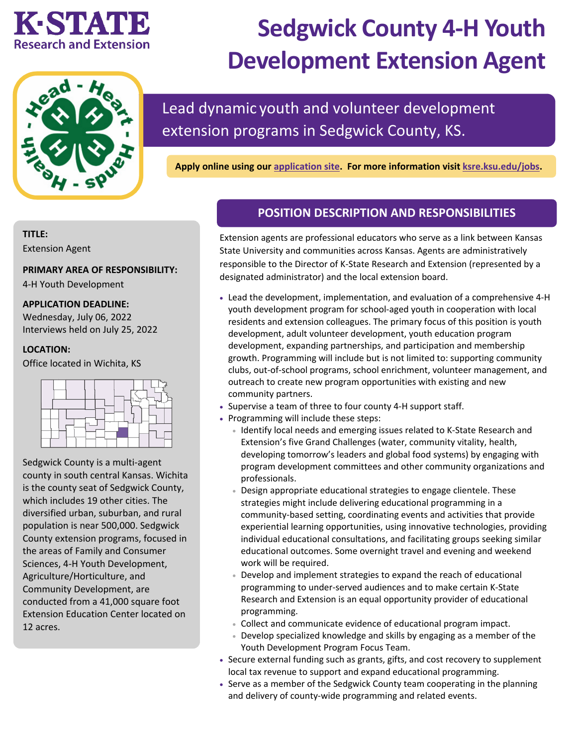# KESTATIE **Research and Extension**



# **Sedgwick County 4-H Youth Development Extension Agent**

## Lead dynamic youth and volunteer development extension programs in Sedgwick County, KS.

**Apply online using our [application site.](https://careers.pageuppeople.com/742/cw/en-us/job/513205/sedgwick-county-4h-youth-development-extension-agent) For more information visit [ksre.ksu.edu/jobs.](https://www.ksre.k-state.edu/jobs/current_openings/index.html)** 

#### **TITLE:**

Extension Agent

#### **PRIMARY AREA OF RESPONSIBILITY:**

4-H Youth Development

#### **APPLICATION DEADLINE:**

Wednesday, July 06, 2022 Interviews held on July 25, 2022

#### **LOCATION:**

Office located in Wichita, KS



Sedgwick County is a multi-agent county in south central Kansas. Wichita is the county seat of Sedgwick County, which includes 19 other cities. The diversified urban, suburban, and rural population is near 500,000. Sedgwick County extension programs, focused in the areas of Family and Consumer Sciences, 4-H Youth Development, Agriculture/Horticulture, and Community Development, are conducted from a 41,000 square foot Extension Education Center located on 12 acres.

#### **POSITION DESCRIPTION AND RESPONSIBILITIES**

Extension agents are professional educators who serve as a link between Kansas State University and communities across Kansas. Agents are administratively responsible to the Director of K-State Research and Extension (represented by a designated administrator) and the local extension board.

- Lead the development, implementation, and evaluation of a comprehensive 4-H youth development program for school-aged youth in cooperation with local residents and extension colleagues. The primary focus of this position is youth development, adult volunteer development, youth education program development, expanding partnerships, and participation and membership growth. Programming will include but is not limited to: supporting community clubs, out-of-school programs, school enrichment, volunteer management, and outreach to create new program opportunities with existing and new community partners.
- Supervise a team of three to four county 4-H support staff.
- Programming will include these steps:
	- Identify local needs and emerging issues related to K-State Research and Extension's five Grand Challenges (water, community vitality, health, developing tomorrow's leaders and global food systems) by engaging with program development committees and other community organizations and professionals.
	- Design appropriate educational strategies to engage clientele. These strategies might include delivering educational programming in a community-based setting, coordinating events and activities that provide experiential learning opportunities, using innovative technologies, providing individual educational consultations, and facilitating groups seeking similar educational outcomes. Some overnight travel and evening and weekend work will be required.
	- Develop and implement strategies to expand the reach of educational programming to under-served audiences and to make certain K-State Research and Extension is an equal opportunity provider of educational programming.
	- Collect and communicate evidence of educational program impact.
	- Develop specialized knowledge and skills by engaging as a member of the Youth Development Program Focus Team.
- Secure external funding such as grants, gifts, and cost recovery to supplement local tax revenue to support and expand educational programming.
- Serve as a member of the Sedgwick County team cooperating in the planning and delivery of county-wide programming and related events.